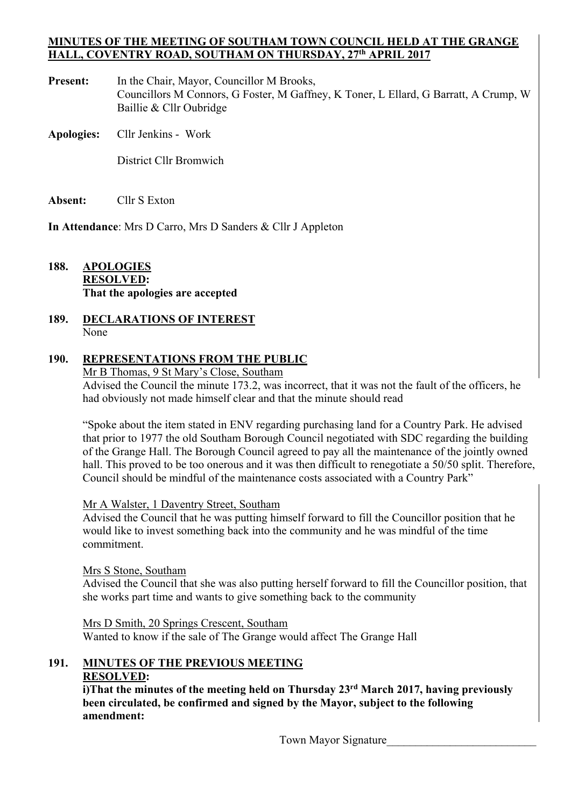#### **MINUTES OF THE MEETING OF SOUTHAM TOWN COUNCIL HELD AT THE GRANGE HALL, COVENTRY ROAD, SOUTHAM ON THURSDAY, 27th APRIL 2017**

- Present: In the Chair, Mayor, Councillor M Brooks, Councillors M Connors, G Foster, M Gaffney, K Toner, L Ellard, G Barratt, A Crump, W Baillie & Cllr Oubridge
- **Apologies:** Cllr Jenkins Work

District Cllr Bromwich

**Absent:** Cllr S Exton

**In Attendance**: Mrs D Carro, Mrs D Sanders & Cllr J Appleton

## **188. APOLOGIES RESOLVED: That the apologies are accepted**

#### **189. DECLARATIONS OF INTEREST**  None

### **190. REPRESENTATIONS FROM THE PUBLIC**

Mr B Thomas, 9 St Mary's Close, Southam

Advised the Council the minute 173.2, was incorrect, that it was not the fault of the officers, he had obviously not made himself clear and that the minute should read

"Spoke about the item stated in ENV regarding purchasing land for a Country Park. He advised that prior to 1977 the old Southam Borough Council negotiated with SDC regarding the building of the Grange Hall. The Borough Council agreed to pay all the maintenance of the jointly owned hall. This proved to be too onerous and it was then difficult to renegotiate a 50/50 split. Therefore, Council should be mindful of the maintenance costs associated with a Country Park"

#### Mr A Walster, 1 Daventry Street, Southam

 Advised the Council that he was putting himself forward to fill the Councillor position that he would like to invest something back into the community and he was mindful of the time commitment.

#### Mrs S Stone, Southam

Advised the Council that she was also putting herself forward to fill the Councillor position, that she works part time and wants to give something back to the community

Mrs D Smith, 20 Springs Crescent, Southam Wanted to know if the sale of The Grange would affect The Grange Hall

# **191. MINUTES OF THE PREVIOUS MEETING RESOLVED:**

**i)That the minutes of the meeting held on Thursday 23<sup>rd</sup> March 2017, having previously been circulated, be confirmed and signed by the Mayor, subject to the following amendment:** 

Town Mayor Signature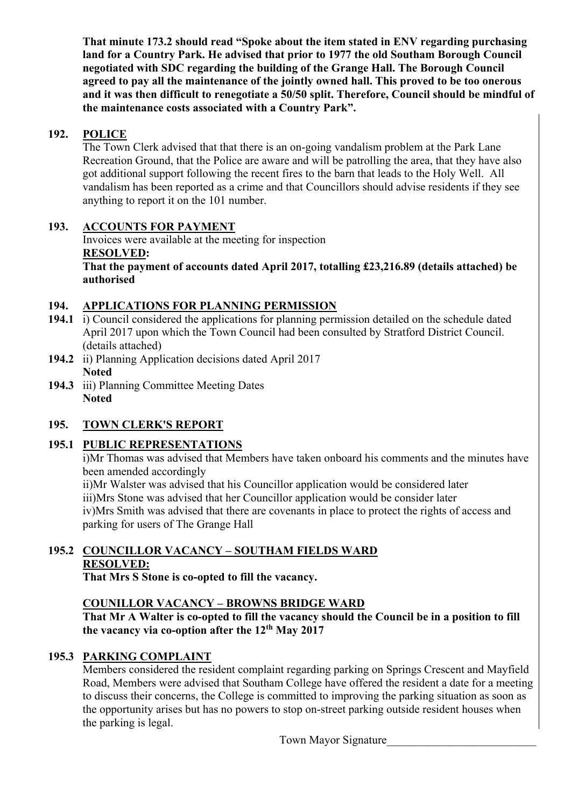**That minute 173.2 should read "Spoke about the item stated in ENV regarding purchasing land for a Country Park. He advised that prior to 1977 the old Southam Borough Council negotiated with SDC regarding the building of the Grange Hall. The Borough Council agreed to pay all the maintenance of the jointly owned hall. This proved to be too onerous and it was then difficult to renegotiate a 50/50 split. Therefore, Council should be mindful of the maintenance costs associated with a Country Park".** 

# **192. POLICE**

The Town Clerk advised that that there is an on-going vandalism problem at the Park Lane Recreation Ground, that the Police are aware and will be patrolling the area, that they have also got additional support following the recent fires to the barn that leads to the Holy Well. All vandalism has been reported as a crime and that Councillors should advise residents if they see anything to report it on the 101 number.

## **193. ACCOUNTS FOR PAYMENT**

 Invoices were available at the meeting for inspection **RESOLVED:** 

**That the payment of accounts dated April 2017, totalling £23,216.89 (details attached) be authorised** 

## **194. APPLICATIONS FOR PLANNING PERMISSION**

- **194.1** i) Council considered the applications for planning permission detailed on the schedule dated April 2017 upon which the Town Council had been consulted by Stratford District Council. (details attached)
- **194.2** ii) Planning Application decisions dated April 2017 **Noted**
- **194.3** iii) Planning Committee Meeting Dates **Noted**

## **195. TOWN CLERK'S REPORT**

## **195.1 PUBLIC REPRESENTATIONS**

i)Mr Thomas was advised that Members have taken onboard his comments and the minutes have been amended accordingly

 ii)Mr Walster was advised that his Councillor application would be considered later iii)Mrs Stone was advised that her Councillor application would be consider later iv)Mrs Smith was advised that there are covenants in place to protect the rights of access and parking for users of The Grange Hall

# **195.2 COUNCILLOR VACANCY – SOUTHAM FIELDS WARD RESOLVED:**

 **That Mrs S Stone is co-opted to fill the vacancy.** 

## **COUNILLOR VACANCY – BROWNS BRIDGE WARD**

 **That Mr A Walter is co-opted to fill the vacancy should the Council be in a position to fill the vacancy via co-option after the 12th May 2017** 

# **195.3 PARKING COMPLAINT**

Members considered the resident complaint regarding parking on Springs Crescent and Mayfield Road, Members were advised that Southam College have offered the resident a date for a meeting to discuss their concerns, the College is committed to improving the parking situation as soon as the opportunity arises but has no powers to stop on-street parking outside resident houses when the parking is legal.

Town Mayor Signature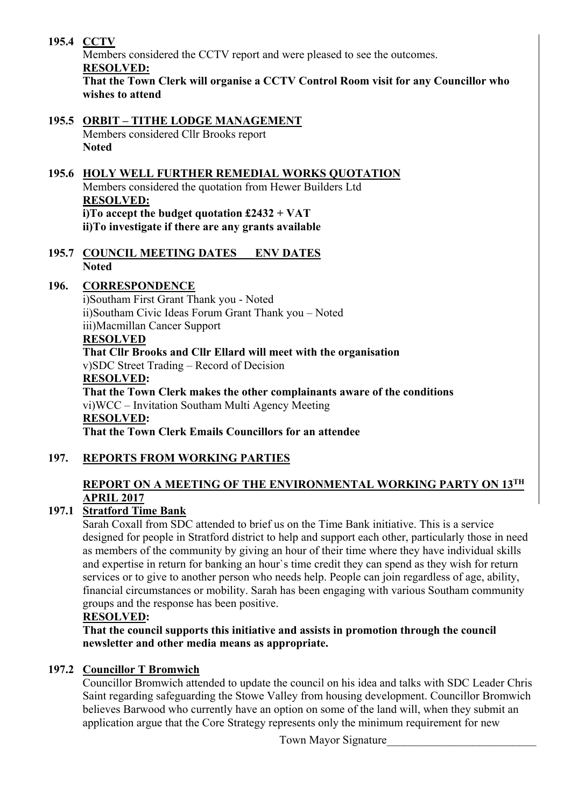## **195.4 CCTV**

Members considered the CCTV report and were pleased to see the outcomes.

**RESOLVED:** 

 **That the Town Clerk will organise a CCTV Control Room visit for any Councillor who wishes to attend** 

**195.5 ORBIT – TITHE LODGE MANAGEMENT**  Members considered Cllr Brooks report **Noted** 

# **195.6 HOLY WELL FURTHER REMEDIAL WORKS QUOTATION**

Members considered the quotation from Hewer Builders Ltd **RESOLVED: i)To accept the budget quotation £2432 + VAT ii)To investigate if there are any grants available** 

**195.7 COUNCIL MEETING DATES ENV DATES Noted** 

## **196. CORRESPONDENCE**

i)Southam First Grant Thank you - Noted ii)Southam Civic Ideas Forum Grant Thank you – Noted iii)Macmillan Cancer Support **RESOLVED That Cllr Brooks and Cllr Ellard will meet with the organisation**  v)SDC Street Trading – Record of Decision  **RESOLVED: That the Town Clerk makes the other complainants aware of the conditions**  vi)WCC – Invitation Southam Multi Agency Meeting **RESOLVED: That the Town Clerk Emails Councillors for an attendee** 

# **197. REPORTS FROM WORKING PARTIES**

## **REPORT ON A MEETING OF THE ENVIRONMENTAL WORKING PARTY ON 13TH APRIL 2017**

# **197.1 Stratford Time Bank**

 Sarah Coxall from SDC attended to brief us on the Time Bank initiative. This is a service designed for people in Stratford district to help and support each other, particularly those in need as members of the community by giving an hour of their time where they have individual skills and expertise in return for banking an hour`s time credit they can spend as they wish for return services or to give to another person who needs help. People can join regardless of age, ability, financial circumstances or mobility. Sarah has been engaging with various Southam community groups and the response has been positive.

## **RESOLVED:**

 **That the council supports this initiative and assists in promotion through the council newsletter and other media means as appropriate.** 

## **197.2 Councillor T Bromwich**

 Councillor Bromwich attended to update the council on his idea and talks with SDC Leader Chris Saint regarding safeguarding the Stowe Valley from housing development. Councillor Bromwich believes Barwood who currently have an option on some of the land will, when they submit an application argue that the Core Strategy represents only the minimum requirement for new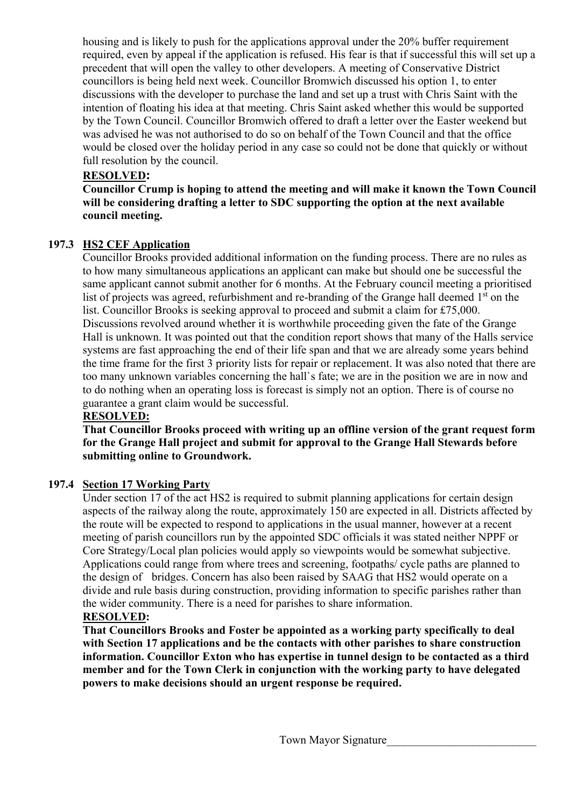housing and is likely to push for the applications approval under the 20% buffer requirement required, even by appeal if the application is refused. His fear is that if successful this will set up a precedent that will open the valley to other developers. A meeting of Conservative District councillors is being held next week. Councillor Bromwich discussed his option 1, to enter discussions with the developer to purchase the land and set up a trust with Chris Saint with the intention of floating his idea at that meeting. Chris Saint asked whether this would be supported by the Town Council. Councillor Bromwich offered to draft a letter over the Easter weekend but was advised he was not authorised to do so on behalf of the Town Council and that the office would be closed over the holiday period in any case so could not be done that quickly or without full resolution by the council.

#### **RESOLVED:**

 **Councillor Crump is hoping to attend the meeting and will make it known the Town Council will be considering drafting a letter to SDC supporting the option at the next available council meeting.** 

### **197.3 HS2 CEF Application**

 Councillor Brooks provided additional information on the funding process. There are no rules as to how many simultaneous applications an applicant can make but should one be successful the same applicant cannot submit another for 6 months. At the February council meeting a prioritised list of projects was agreed, refurbishment and re-branding of the Grange hall deemed  $1<sup>st</sup>$  on the list. Councillor Brooks is seeking approval to proceed and submit a claim for £75,000. Discussions revolved around whether it is worthwhile proceeding given the fate of the Grange Hall is unknown. It was pointed out that the condition report shows that many of the Halls service systems are fast approaching the end of their life span and that we are already some years behind the time frame for the first 3 priority lists for repair or replacement. It was also noted that there are too many unknown variables concerning the hall`s fate; we are in the position we are in now and to do nothing when an operating loss is forecast is simply not an option. There is of course no guarantee a grant claim would be successful.

#### **RESOLVED:**

 **That Councillor Brooks proceed with writing up an offline version of the grant request form for the Grange Hall project and submit for approval to the Grange Hall Stewards before submitting online to Groundwork.** 

#### **197.4 Section 17 Working Party**

 Under section 17 of the act HS2 is required to submit planning applications for certain design aspects of the railway along the route, approximately 150 are expected in all. Districts affected by the route will be expected to respond to applications in the usual manner, however at a recent meeting of parish councillors run by the appointed SDC officials it was stated neither NPPF or Core Strategy/Local plan policies would apply so viewpoints would be somewhat subjective. Applications could range from where trees and screening, footpaths/ cycle paths are planned to the design of bridges. Concern has also been raised by SAAG that HS2 would operate on a divide and rule basis during construction, providing information to specific parishes rather than the wider community. There is a need for parishes to share information.

#### **RESOLVED:**

 **That Councillors Brooks and Foster be appointed as a working party specifically to deal with Section 17 applications and be the contacts with other parishes to share construction information. Councillor Exton who has expertise in tunnel design to be contacted as a third member and for the Town Clerk in conjunction with the working party to have delegated powers to make decisions should an urgent response be required.**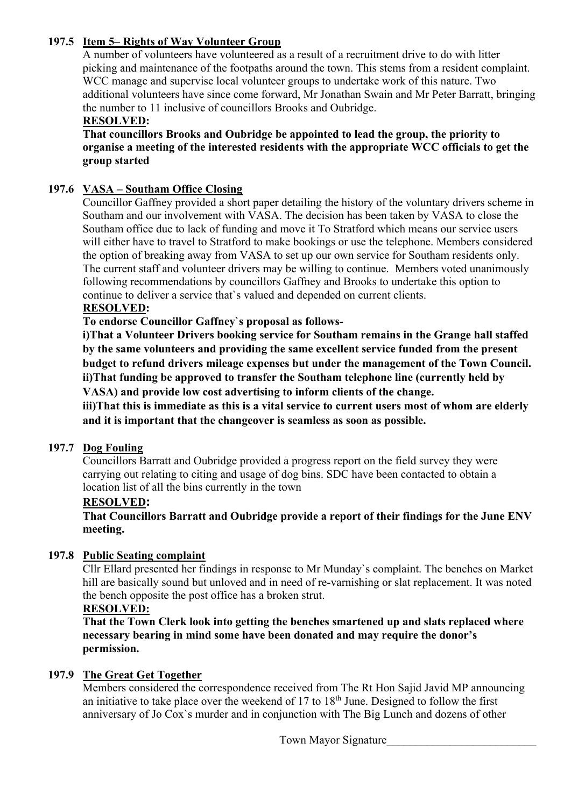## **197.5 Item 5– Rights of Way Volunteer Group**

 A number of volunteers have volunteered as a result of a recruitment drive to do with litter picking and maintenance of the footpaths around the town. This stems from a resident complaint. WCC manage and supervise local volunteer groups to undertake work of this nature. Two additional volunteers have since come forward, Mr Jonathan Swain and Mr Peter Barratt, bringing the number to 11 inclusive of councillors Brooks and Oubridge.

#### **RESOLVED:**

 **That councillors Brooks and Oubridge be appointed to lead the group, the priority to organise a meeting of the interested residents with the appropriate WCC officials to get the group started** 

#### **197.6 VASA – Southam Office Closing**

 Councillor Gaffney provided a short paper detailing the history of the voluntary drivers scheme in Southam and our involvement with VASA. The decision has been taken by VASA to close the Southam office due to lack of funding and move it To Stratford which means our service users will either have to travel to Stratford to make bookings or use the telephone. Members considered the option of breaking away from VASA to set up our own service for Southam residents only. The current staff and volunteer drivers may be willing to continue. Members voted unanimously following recommendations by councillors Gaffney and Brooks to undertake this option to continue to deliver a service that`s valued and depended on current clients.

#### **RESOLVED:**

 **To endorse Councillor Gaffney`s proposal as follows-**

**i)That a Volunteer Drivers booking service for Southam remains in the Grange hall staffed by the same volunteers and providing the same excellent service funded from the present budget to refund drivers mileage expenses but under the management of the Town Council. ii)That funding be approved to transfer the Southam telephone line (currently held by VASA) and provide low cost advertising to inform clients of the change.** 

 **iii)That this is immediate as this is a vital service to current users most of whom are elderly and it is important that the changeover is seamless as soon as possible.** 

#### **197.7 Dog Fouling**

 Councillors Barratt and Oubridge provided a progress report on the field survey they were carrying out relating to citing and usage of dog bins. SDC have been contacted to obtain a location list of all the bins currently in the town

#### **RESOLVED:**

 **That Councillors Barratt and Oubridge provide a report of their findings for the June ENV meeting.** 

#### **197.8 Public Seating complaint**

 Cllr Ellard presented her findings in response to Mr Munday`s complaint. The benches on Market hill are basically sound but unloved and in need of re-varnishing or slat replacement. It was noted the bench opposite the post office has a broken strut.

#### **RESOLVED:**

 **That the Town Clerk look into getting the benches smartened up and slats replaced where necessary bearing in mind some have been donated and may require the donor's permission.** 

#### **197.9 The Great Get Together**

 Members considered the correspondence received from The Rt Hon Sajid Javid MP announcing an initiative to take place over the weekend of  $17$  to  $18<sup>th</sup>$  June. Designed to follow the first anniversary of Jo Cox`s murder and in conjunction with The Big Lunch and dozens of other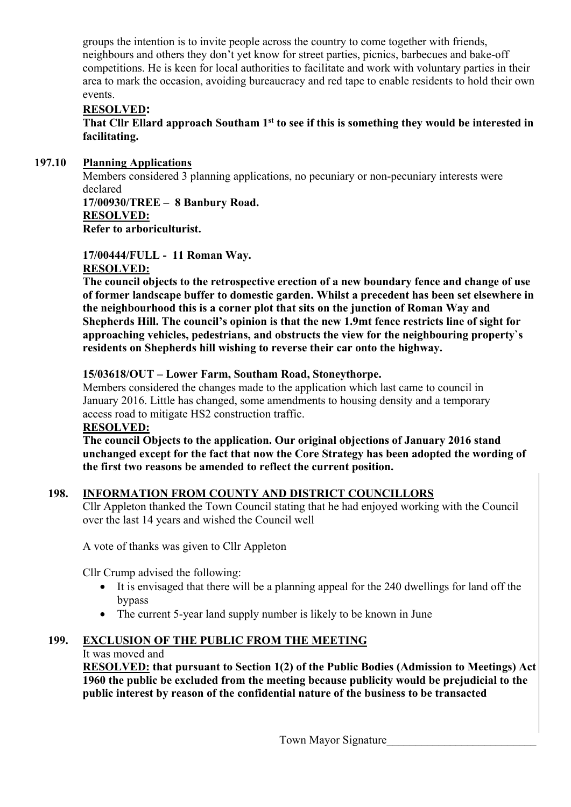groups the intention is to invite people across the country to come together with friends, neighbours and others they don't yet know for street parties, picnics, barbecues and bake-off competitions. He is keen for local authorities to facilitate and work with voluntary parties in their area to mark the occasion, avoiding bureaucracy and red tape to enable residents to hold their own events.

### **RESOLVED:**

 **That Cllr Ellard approach Southam 1st to see if this is something they would be interested in facilitating.** 

### **197.10 Planning Applications**

 Members considered 3 planning applications, no pecuniary or non-pecuniary interests were declared

 **17/00930/TREE – 8 Banbury Road. RESOLVED:** 

 **Refer to arboriculturist.** 

 **17/00444/FULL - 11 Roman Way.** 

#### **RESOLVED:**

 **The council objects to the retrospective erection of a new boundary fence and change of use of former landscape buffer to domestic garden. Whilst a precedent has been set elsewhere in the neighbourhood this is a corner plot that sits on the junction of Roman Way and Shepherds Hill. The council's opinion is that the new 1.9mt fence restricts line of sight for approaching vehicles, pedestrians, and obstructs the view for the neighbouring property`s residents on Shepherds hill wishing to reverse their car onto the highway.** 

### **15/03618/OUT – Lower Farm, Southam Road, Stoneythorpe.**

Members considered the changes made to the application which last came to council in January 2016. Little has changed, some amendments to housing density and a temporary access road to mitigate HS2 construction traffic.

#### **RESOLVED:**

 **The council Objects to the application. Our original objections of January 2016 stand unchanged except for the fact that now the Core Strategy has been adopted the wording of the first two reasons be amended to reflect the current position.** 

## **198. INFORMATION FROM COUNTY AND DISTRICT COUNCILLORS**

Cllr Appleton thanked the Town Council stating that he had enjoyed working with the Council over the last 14 years and wished the Council well

A vote of thanks was given to Cllr Appleton

Cllr Crump advised the following:

- It is envisaged that there will be a planning appeal for the 240 dwellings for land off the bypass
- The current 5-year land supply number is likely to be known in June

# **199. EXCLUSION OF THE PUBLIC FROM THE MEETING**

#### It was moved and

**RESOLVED: that pursuant to Section 1(2) of the Public Bodies (Admission to Meetings) Act 1960 the public be excluded from the meeting because publicity would be prejudicial to the public interest by reason of the confidential nature of the business to be transacted**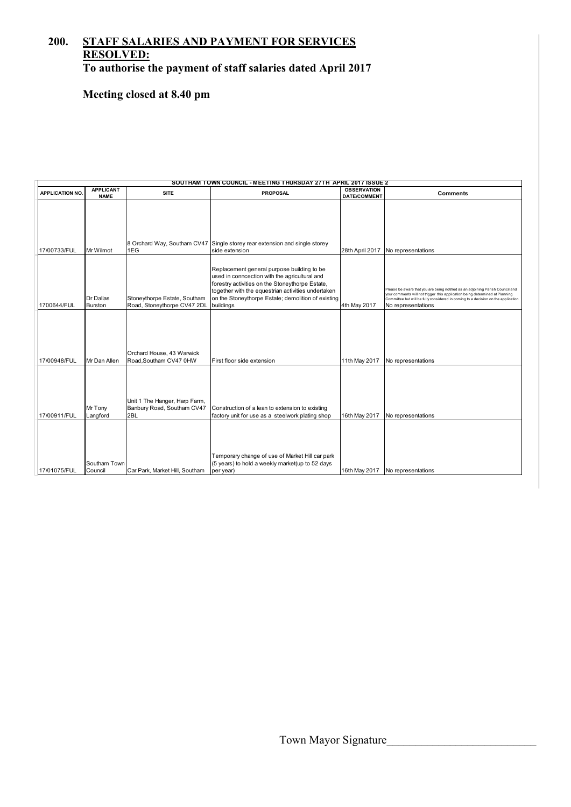### **200. STAFF SALARIES AND PAYMENT FOR SERVICES RESOLVED: To authorise the payment of staff salaries dated April 2017**

# **Meeting closed at 8.40 pm**

| SOUTHAM TOWN COUNCIL - MEETING THURSDAY 27TH APRIL 2017 ISSUE 2 |                                 |                                                     |                                                                                                          |                                           |                                                                                                                                                                   |  |  |  |  |  |  |
|-----------------------------------------------------------------|---------------------------------|-----------------------------------------------------|----------------------------------------------------------------------------------------------------------|-------------------------------------------|-------------------------------------------------------------------------------------------------------------------------------------------------------------------|--|--|--|--|--|--|
| <b>APPLICATION NO.</b>                                          | <b>APPLICANT</b><br><b>NAME</b> | <b>SITE</b>                                         | <b>PROPOSAL</b>                                                                                          | <b>OBSERVATION</b><br><b>DATE/COMMENT</b> | <b>Comments</b>                                                                                                                                                   |  |  |  |  |  |  |
|                                                                 |                                 |                                                     |                                                                                                          |                                           |                                                                                                                                                                   |  |  |  |  |  |  |
|                                                                 |                                 |                                                     |                                                                                                          |                                           |                                                                                                                                                                   |  |  |  |  |  |  |
|                                                                 |                                 |                                                     |                                                                                                          |                                           |                                                                                                                                                                   |  |  |  |  |  |  |
|                                                                 |                                 | 8 Orchard Way, Southam CV47                         | Single storey rear extension and single storey                                                           |                                           |                                                                                                                                                                   |  |  |  |  |  |  |
| 17/00733/FUL                                                    | Mr Wilmot                       | 1EG                                                 | side extension                                                                                           | 28th April 2017                           | No representations                                                                                                                                                |  |  |  |  |  |  |
|                                                                 |                                 |                                                     |                                                                                                          |                                           |                                                                                                                                                                   |  |  |  |  |  |  |
|                                                                 |                                 |                                                     | Replacement general purpose building to be<br>used in conncection with the agricultural and              |                                           |                                                                                                                                                                   |  |  |  |  |  |  |
|                                                                 |                                 |                                                     | forestry activities on the Stoneythorpe Estate,                                                          |                                           | Please be aware that you are being notified as an adjoining Parish Council and                                                                                    |  |  |  |  |  |  |
|                                                                 | Dr Dallas                       | Stoneythorpe Estate, Southam                        | together with the equestrian activities undertaken<br>on the Stoneythorpe Estate; demolition of existing |                                           | your comments will not trigger this application being determined at Planning<br>Committee but will be fully considered in coming to a decision on the application |  |  |  |  |  |  |
| 1700644/FUL                                                     | <b>Burston</b>                  | Road, Stoneythorpe CV47 2DL                         | buildings                                                                                                | 4th May 2017                              | No representations                                                                                                                                                |  |  |  |  |  |  |
|                                                                 |                                 |                                                     |                                                                                                          |                                           |                                                                                                                                                                   |  |  |  |  |  |  |
|                                                                 |                                 |                                                     |                                                                                                          |                                           |                                                                                                                                                                   |  |  |  |  |  |  |
|                                                                 |                                 |                                                     |                                                                                                          |                                           |                                                                                                                                                                   |  |  |  |  |  |  |
|                                                                 |                                 |                                                     |                                                                                                          |                                           |                                                                                                                                                                   |  |  |  |  |  |  |
| 17/00948/FUL                                                    | Mr Dan Allen                    | Orchard House, 43 Warwick<br>Road, Southam CV47 0HW | First floor side extension                                                                               | 11th May 2017                             | No representations                                                                                                                                                |  |  |  |  |  |  |
|                                                                 |                                 |                                                     |                                                                                                          |                                           |                                                                                                                                                                   |  |  |  |  |  |  |
|                                                                 |                                 |                                                     |                                                                                                          |                                           |                                                                                                                                                                   |  |  |  |  |  |  |
|                                                                 |                                 |                                                     |                                                                                                          |                                           |                                                                                                                                                                   |  |  |  |  |  |  |
|                                                                 |                                 | Unit 1 The Hanger, Harp Farm,                       |                                                                                                          |                                           |                                                                                                                                                                   |  |  |  |  |  |  |
|                                                                 | Mr Tony                         | Banbury Road, Southam CV47                          | Construction of a lean to extension to existing                                                          |                                           |                                                                                                                                                                   |  |  |  |  |  |  |
| 17/00911/FUL                                                    | Langford                        | 2BL                                                 | factory unit for use as a steelwork plating shop                                                         | 16th May 2017                             | No representations                                                                                                                                                |  |  |  |  |  |  |
|                                                                 |                                 |                                                     |                                                                                                          |                                           |                                                                                                                                                                   |  |  |  |  |  |  |
|                                                                 |                                 |                                                     |                                                                                                          |                                           |                                                                                                                                                                   |  |  |  |  |  |  |
|                                                                 |                                 |                                                     |                                                                                                          |                                           |                                                                                                                                                                   |  |  |  |  |  |  |
|                                                                 | Southam Town                    |                                                     | Temporary change of use of Market Hill car park<br>(5 years) to hold a weekly market(up to 52 days       |                                           |                                                                                                                                                                   |  |  |  |  |  |  |
| 17/01075/FUL                                                    | Council                         | Car Park, Market Hill, Southam                      | per year)                                                                                                | 16th May 2017                             | No representations                                                                                                                                                |  |  |  |  |  |  |